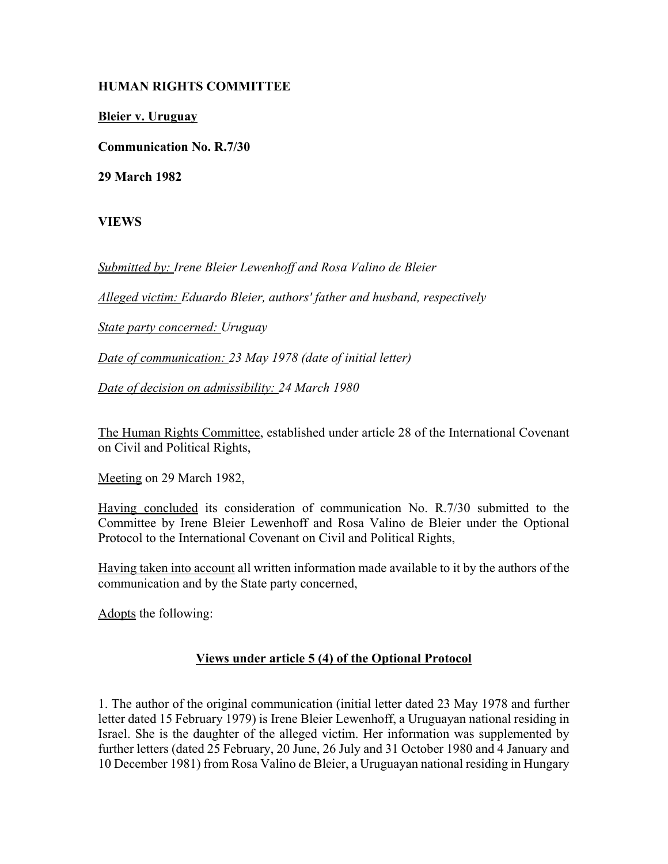## **HUMAN RIGHTS COMMITTEE**

**Bleier v. Uruguay**

**Communication No. R.7/30**

**29 March 1982**

**VIEWS**

*Submitted by: Irene Bleier Lewenhoff and Rosa Valino de Bleier* 

*Alleged victim: Eduardo Bleier, authors' father and husband, respectively* 

*State party concerned: Uruguay* 

*Date of communication: 23 May 1978 (date of initial letter)* 

*Date of decision on admissibility: 24 March 1980* 

The Human Rights Committee, established under article 28 of the International Covenant on Civil and Political Rights,

Meeting on 29 March 1982,

Having concluded its consideration of communication No. R.7/30 submitted to the Committee by Irene Bleier Lewenhoff and Rosa Valino de Bleier under the Optional Protocol to the International Covenant on Civil and Political Rights,

Having taken into account all written information made available to it by the authors of the communication and by the State party concerned,

Adopts the following:

## **Views under article 5 (4) of the Optional Protocol**

1. The author of the original communication (initial letter dated 23 May 1978 and further letter dated 15 February 1979) is Irene Bleier Lewenhoff, a Uruguayan national residing in Israel. She is the daughter of the alleged victim. Her information was supplemented by further letters (dated 25 February, 20 June, 26 July and 31 October 1980 and 4 January and 10 December 1981) from Rosa Valino de Bleier, a Uruguayan national residing in Hungary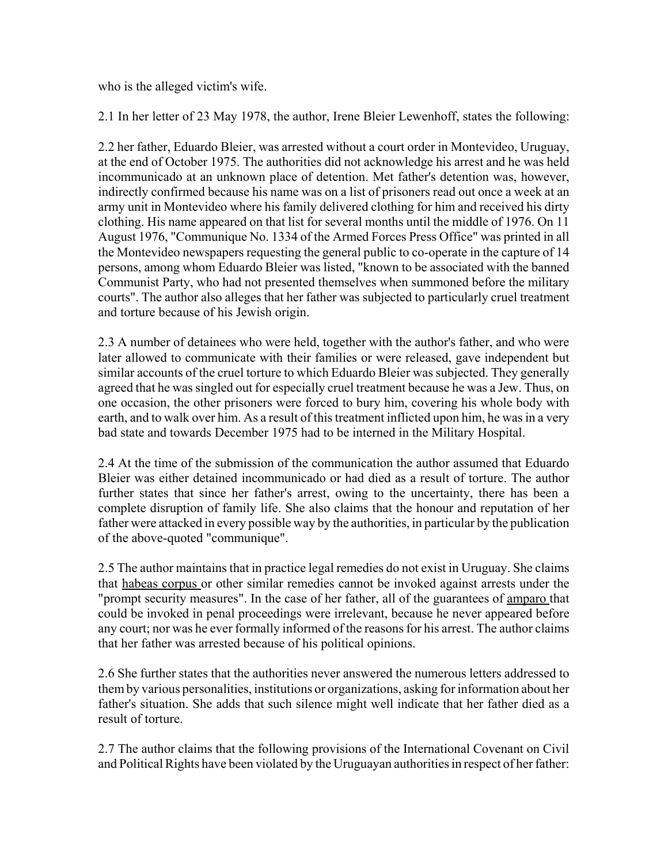who is the alleged victim's wife.

2.1 In her letter of 23 May 1978, the author, Irene Bleier Lewenhoff, states the following:

2.2 her father, Eduardo Bleier, was arrested without a court order in Montevideo, Uruguay, at the end of October 1975. The authorities did not acknowledge his arrest and he was held incommunicado at an unknown place of detention. Met father's detention was, however, indirectly confirmed because his name was on a list of prisoners read out once a week at an army unit in Montevideo where his family delivered clothing for him and received his dirty clothing. His name appeared on that list for several months until the middle of 1976. On 11 August 1976, "Communique No. 1334 of the Armed Forces Press Office" was printed in all the Montevideo newspapers requesting the general public to co-operate in the capture of 14 persons, among whom Eduardo Bleier was listed, "known to be associated with the banned Communist Party, who had not presented themselves when summoned before the military courts". The author also alleges that her father was subjected to particularly cruel treatment and torture because of his Jewish origin.

2.3 A number of detainees who were held, together with the author's father, and who were later allowed to communicate with their families or were released, gave independent but similar accounts of the cruel torture to which Eduardo Bleier was subjected. They generally agreed that he was singled out for especially cruel treatment because he was a Jew. Thus, on one occasion, the other prisoners were forced to bury him, covering his whole body with earth, and to walk over him. As a result of this treatment inflicted upon him, he was in a very bad state and towards December 1975 had to be interned in the Military Hospital.

2.4 At the time of the submission of the communication the author assumed that Eduardo Bleier was either detained incommunicado or had died as a result of torture. The author further states that since her father's arrest, owing to the uncertainty, there has been a complete disruption of family life. She also claims that the honour and reputation of her father were attacked in every possible way by the authorities, in particular by the publication of the above-quoted "communique".

2.5 The author maintains that in practice legal remedies do not exist in Uruguay. She claims that habeas corpus or other similar remedies cannot be invoked against arrests under the "prompt security measures". In the case of her father, all of the guarantees of amparo that could be invoked in penal proceedings were irrelevant, because he never appeared before any court; nor was he ever formally informed of the reasons for his arrest. The author claims that her father was arrested because of his political opinions.

2.6 She further states that the authorities never answered the numerous letters addressed to them by various personalities, institutions or organizations, asking for information about her father's situation. She adds that such silence might well indicate that her father died as a result of torture.

2.7 The author claims that the following provisions of the International Covenant on Civil and Political Rights have been violated by the Uruguayan authorities in respect of her father: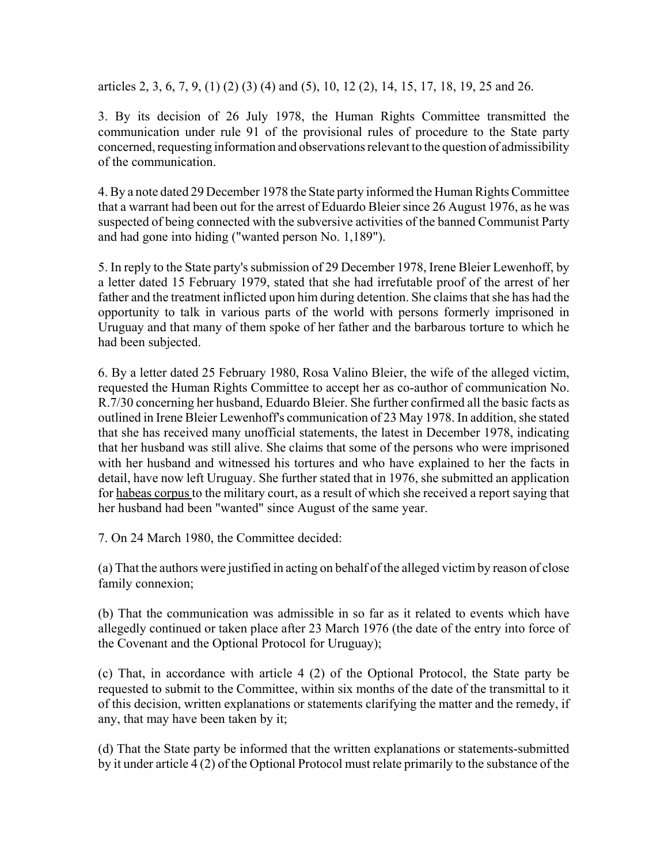articles 2, 3, 6, 7, 9, (1) (2) (3) (4) and (5), 10, 12 (2), 14, 15, 17, 18, 19, 25 and 26.

3. By its decision of 26 July 1978, the Human Rights Committee transmitted the communication under rule 91 of the provisional rules of procedure to the State party concerned, requesting information and observations relevant to the question of admissibility of the communication.

4. By a note dated 29 December 1978 the State party informed the Human Rights Committee that a warrant had been out for the arrest of Eduardo Bleier since 26 August 1976, as he was suspected of being connected with the subversive activities of the banned Communist Party and had gone into hiding ("wanted person No. 1,189").

5. In reply to the State party's submission of 29 December 1978, Irene Bleier Lewenhoff, by a letter dated 15 February 1979, stated that she had irrefutable proof of the arrest of her father and the treatment inflicted upon him during detention. She claims that she has had the opportunity to talk in various parts of the world with persons formerly imprisoned in Uruguay and that many of them spoke of her father and the barbarous torture to which he had been subjected.

6. By a letter dated 25 February 1980, Rosa Valino Bleier, the wife of the alleged victim, requested the Human Rights Committee to accept her as co-author of communication No. R.7/30 concerning her husband, Eduardo Bleier. She further confirmed all the basic facts as outlined in Irene Bleier Lewenhoff's communication of 23 May 1978. In addition, she stated that she has received many unofficial statements, the latest in December 1978, indicating that her husband was still alive. She claims that some of the persons who were imprisoned with her husband and witnessed his tortures and who have explained to her the facts in detail, have now left Uruguay. She further stated that in 1976, she submitted an application for habeas corpus to the military court, as a result of which she received a report saying that her husband had been "wanted" since August of the same year.

7. On 24 March 1980, the Committee decided:

(a) That the authors were justified in acting on behalf of the alleged victim by reason of close family connexion;

(b) That the communication was admissible in so far as it related to events which have allegedly continued or taken place after 23 March 1976 (the date of the entry into force of the Covenant and the Optional Protocol for Uruguay);

(c) That, in accordance with article 4 (2) of the Optional Protocol, the State party be requested to submit to the Committee, within six months of the date of the transmittal to it of this decision, written explanations or statements clarifying the matter and the remedy, if any, that may have been taken by it;

(d) That the State party be informed that the written explanations or statements-submitted by it under article 4 (2) of the Optional Protocol must relate primarily to the substance of the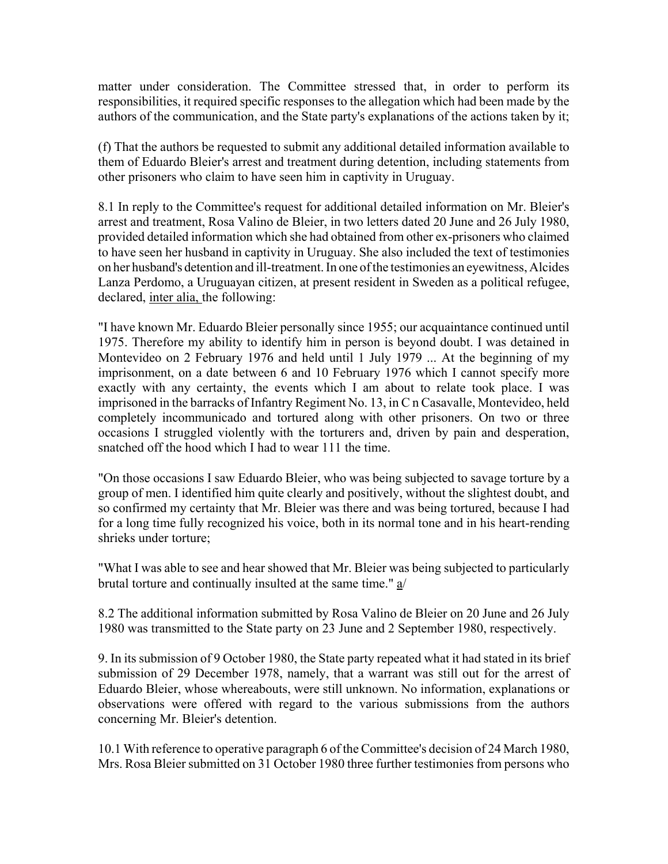matter under consideration. The Committee stressed that, in order to perform its responsibilities, it required specific responses to the allegation which had been made by the authors of the communication, and the State party's explanations of the actions taken by it;

(f) That the authors be requested to submit any additional detailed information available to them of Eduardo Bleier's arrest and treatment during detention, including statements from other prisoners who claim to have seen him in captivity in Uruguay.

8.1 In reply to the Committee's request for additional detailed information on Mr. Bleier's arrest and treatment, Rosa Valino de Bleier, in two letters dated 20 June and 26 July 1980, provided detailed information which she had obtained from other ex-prisoners who claimed to have seen her husband in captivity in Uruguay. She also included the text of testimonies on her husband's detention and ill-treatment. In one of the testimonies an eyewitness, Alcides Lanza Perdomo, a Uruguayan citizen, at present resident in Sweden as a political refugee, declared, inter alia, the following:

"I have known Mr. Eduardo Bleier personally since 1955; our acquaintance continued until 1975. Therefore my ability to identify him in person is beyond doubt. I was detained in Montevideo on 2 February 1976 and held until 1 July 1979 ... At the beginning of my imprisonment, on a date between 6 and 10 February 1976 which I cannot specify more exactly with any certainty, the events which I am about to relate took place. I was imprisoned in the barracks of Infantry Regiment No. 13, in C n Casavalle, Montevideo, held completely incommunicado and tortured along with other prisoners. On two or three occasions I struggled violently with the torturers and, driven by pain and desperation, snatched off the hood which I had to wear 111 the time.

"On those occasions I saw Eduardo Bleier, who was being subjected to savage torture by a group of men. I identified him quite clearly and positively, without the slightest doubt, and so confirmed my certainty that Mr. Bleier was there and was being tortured, because I had for a long time fully recognized his voice, both in its normal tone and in his heart-rending shrieks under torture;

"What I was able to see and hear showed that Mr. Bleier was being subjected to particularly brutal torture and continually insulted at the same time." a/

8.2 The additional information submitted by Rosa Valino de Bleier on 20 June and 26 July 1980 was transmitted to the State party on 23 June and 2 September 1980, respectively.

9. In its submission of 9 October 1980, the State party repeated what it had stated in its brief submission of 29 December 1978, namely, that a warrant was still out for the arrest of Eduardo Bleier, whose whereabouts, were still unknown. No information, explanations or observations were offered with regard to the various submissions from the authors concerning Mr. Bleier's detention.

10.1 With reference to operative paragraph 6 of the Committee's decision of 24 March 1980, Mrs. Rosa Bleier submitted on 31 October 1980 three further testimonies from persons who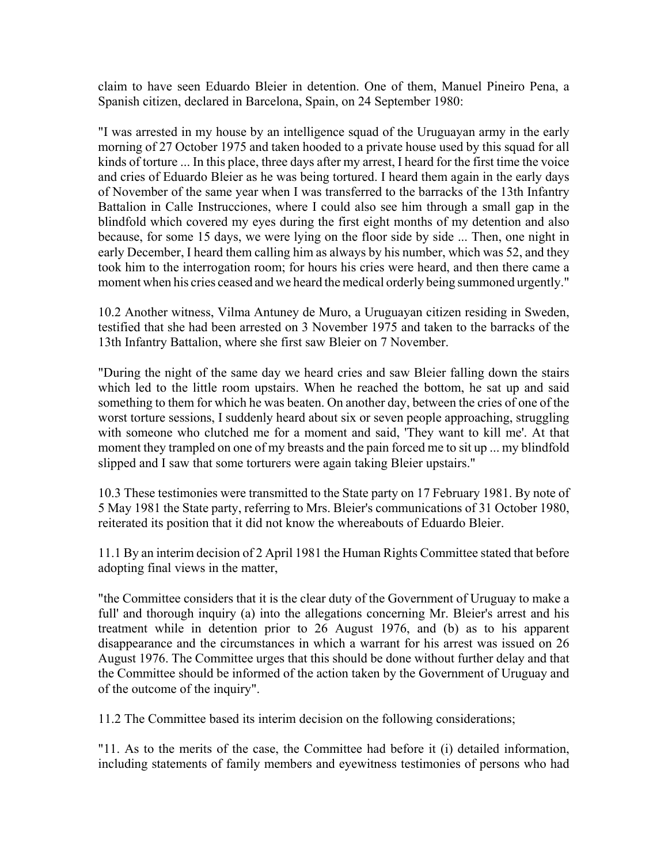claim to have seen Eduardo Bleier in detention. One of them, Manuel Pineiro Pena, a Spanish citizen, declared in Barcelona, Spain, on 24 September 1980:

"I was arrested in my house by an intelligence squad of the Uruguayan army in the early morning of 27 October 1975 and taken hooded to a private house used by this squad for all kinds of torture ... In this place, three days after my arrest, I heard for the first time the voice and cries of Eduardo Bleier as he was being tortured. I heard them again in the early days of November of the same year when I was transferred to the barracks of the 13th Infantry Battalion in Calle Instrucciones, where I could also see him through a small gap in the blindfold which covered my eyes during the first eight months of my detention and also because, for some 15 days, we were lying on the floor side by side ... Then, one night in early December, I heard them calling him as always by his number, which was 52, and they took him to the interrogation room; for hours his cries were heard, and then there came a moment when his cries ceased and we heard the medical orderly being summoned urgently."

10.2 Another witness, Vilma Antuney de Muro, a Uruguayan citizen residing in Sweden, testified that she had been arrested on 3 November 1975 and taken to the barracks of the 13th Infantry Battalion, where she first saw Bleier on 7 November.

"During the night of the same day we heard cries and saw Bleier falling down the stairs which led to the little room upstairs. When he reached the bottom, he sat up and said something to them for which he was beaten. On another day, between the cries of one of the worst torture sessions, I suddenly heard about six or seven people approaching, struggling with someone who clutched me for a moment and said, 'They want to kill me'. At that moment they trampled on one of my breasts and the pain forced me to sit up ... my blindfold slipped and I saw that some torturers were again taking Bleier upstairs."

10.3 These testimonies were transmitted to the State party on 17 February 1981. By note of 5 May 1981 the State party, referring to Mrs. Bleier's communications of 31 October 1980, reiterated its position that it did not know the whereabouts of Eduardo Bleier.

11.1 By an interim decision of 2 April 1981 the Human Rights Committee stated that before adopting final views in the matter,

"the Committee considers that it is the clear duty of the Government of Uruguay to make a full' and thorough inquiry (a) into the allegations concerning Mr. Bleier's arrest and his treatment while in detention prior to 26 August 1976, and (b) as to his apparent disappearance and the circumstances in which a warrant for his arrest was issued on 26 August 1976. The Committee urges that this should be done without further delay and that the Committee should be informed of the action taken by the Government of Uruguay and of the outcome of the inquiry".

11.2 The Committee based its interim decision on the following considerations;

"11. As to the merits of the case, the Committee had before it (i) detailed information, including statements of family members and eyewitness testimonies of persons who had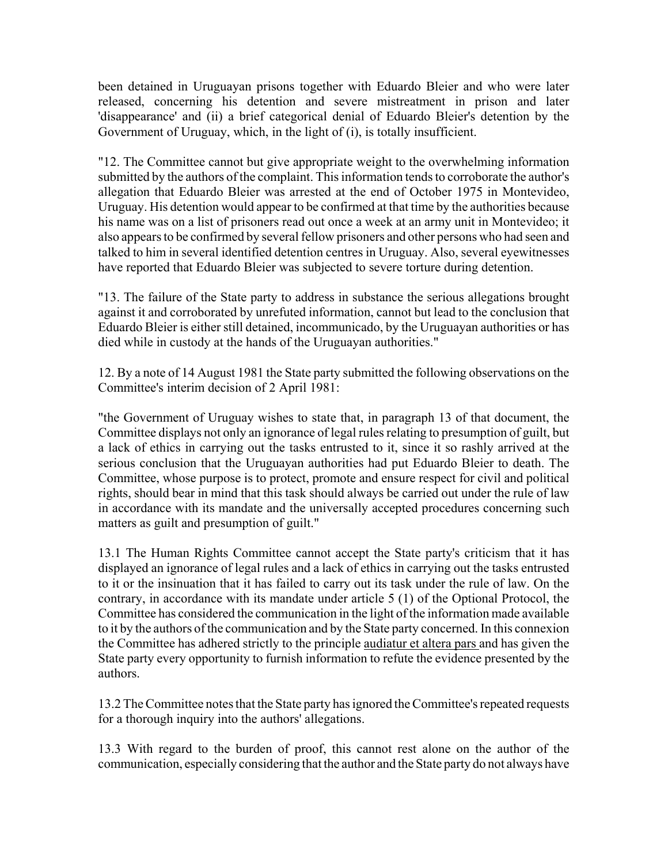been detained in Uruguayan prisons together with Eduardo Bleier and who were later released, concerning his detention and severe mistreatment in prison and later 'disappearance' and (ii) a brief categorical denial of Eduardo Bleier's detention by the Government of Uruguay, which, in the light of (i), is totally insufficient.

"12. The Committee cannot but give appropriate weight to the overwhelming information submitted by the authors of the complaint. This information tends to corroborate the author's allegation that Eduardo Bleier was arrested at the end of October 1975 in Montevideo, Uruguay. His detention would appear to be confirmed at that time by the authorities because his name was on a list of prisoners read out once a week at an army unit in Montevideo; it also appears to be confirmed by several fellow prisoners and other persons who had seen and talked to him in several identified detention centres in Uruguay. Also, several eyewitnesses have reported that Eduardo Bleier was subjected to severe torture during detention.

"13. The failure of the State party to address in substance the serious allegations brought against it and corroborated by unrefuted information, cannot but lead to the conclusion that Eduardo Bleier is either still detained, incommunicado, by the Uruguayan authorities or has died while in custody at the hands of the Uruguayan authorities."

12. By a note of 14 August 1981 the State party submitted the following observations on the Committee's interim decision of 2 April 1981:

"the Government of Uruguay wishes to state that, in paragraph 13 of that document, the Committee displays not only an ignorance of legal rules relating to presumption of guilt, but a lack of ethics in carrying out the tasks entrusted to it, since it so rashly arrived at the serious conclusion that the Uruguayan authorities had put Eduardo Bleier to death. The Committee, whose purpose is to protect, promote and ensure respect for civil and political rights, should bear in mind that this task should always be carried out under the rule of law in accordance with its mandate and the universally accepted procedures concerning such matters as guilt and presumption of guilt."

13.1 The Human Rights Committee cannot accept the State party's criticism that it has displayed an ignorance of legal rules and a lack of ethics in carrying out the tasks entrusted to it or the insinuation that it has failed to carry out its task under the rule of law. On the contrary, in accordance with its mandate under article 5 (1) of the Optional Protocol, the Committee has considered the communication in the light of the information made available to it by the authors of the communication and by the State party concerned. In this connexion the Committee has adhered strictly to the principle audiatur et altera pars and has given the State party every opportunity to furnish information to refute the evidence presented by the authors.

13.2 The Committee notes that the State party has ignored the Committee's repeated requests for a thorough inquiry into the authors' allegations.

13.3 With regard to the burden of proof, this cannot rest alone on the author of the communication, especially considering that the author and the State party do not always have